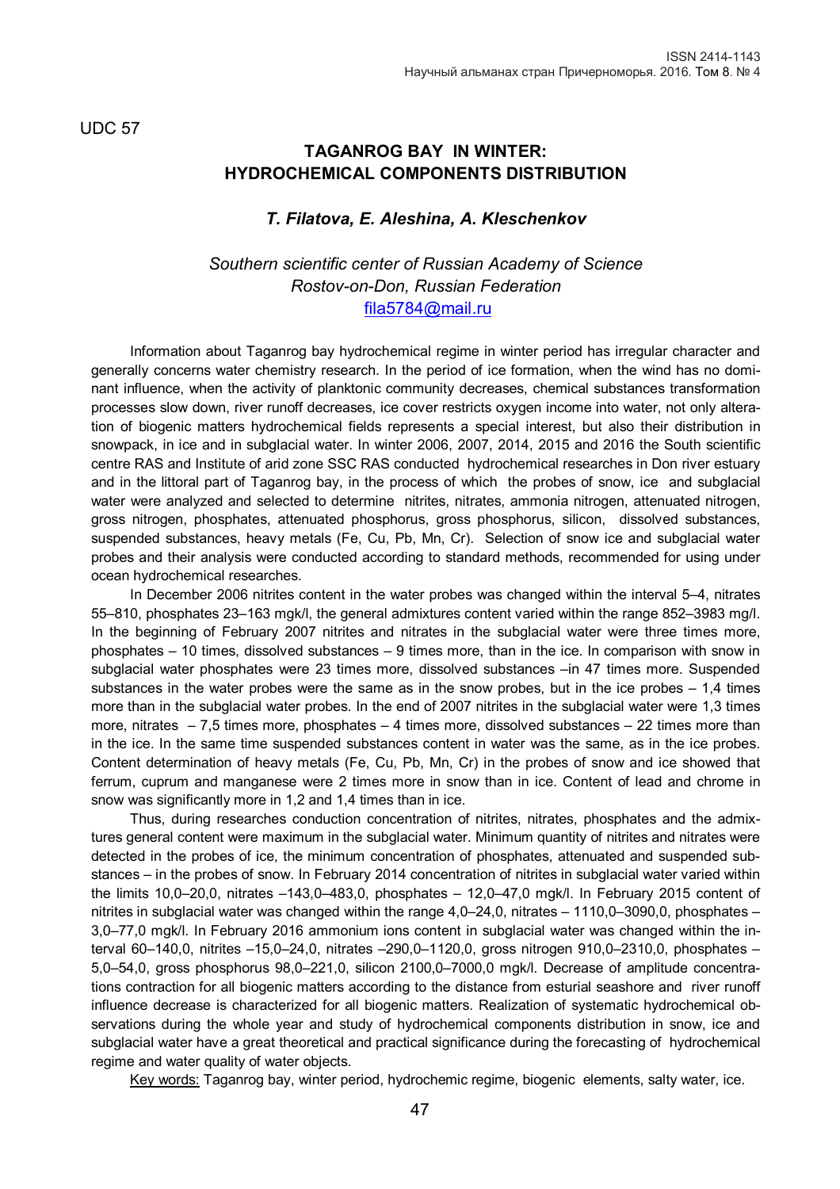UDC 57

## **TAGANROG BAY IN WINTER: HYDROCHEMICAL COMPONENTS DISTRIBUTION**

## *T. Filatova, E. Aleshina, A. Kleschenkov*

## *Southern scientific center of Russian Academy of Science Rostov-on-Don, Russian Federation* [fila5784@mail.ru](mailto:fila5784@mail.ru)

Information about Taganrog bay hydrochemical regime in winter period has irregular character and generally concerns water chemistry research. In the period of ice formation, when the wind has no dominant influence, when the activity of planktonic community decreases, chemical substances transformation processes slow down, river runoff decreases, ice cover restricts oxygen income into water, not only alteration of biogenic matters hydrochemical fields represents a special interest, but also their distribution in snowpack, in ice and in subglacial water. In winter 2006, 2007, 2014, 2015 and 2016 the South scientific centre RAS and Institute of arid zone SSC RAS conducted hydrochemical researches in Don river estuary and in the littoral part of Taganrog bay, in the process of which the probes of snow, ice and subglacial water were analyzed and selected to determine nitrites, nitrates, ammonia nitrogen, attenuated nitrogen, gross nitrogen, phosphates, attenuated phosphorus, gross phosphorus, silicon, dissolved substances, suspended substances, heavy metals (Fe, Cu, Pb, Mn, Cr). Selection of snow ice and subglacial water probes and their analysis were conducted according to standard methods, recommended for using under ocean hydrochemical researches.

In December 2006 nitrites content in the water probes was changed within the interval 5–4, nitrates 55–810, phosphates 23–163 mgk/l, the general admixtures content varied within the range 852–3983 mg/l. In the beginning of February 2007 nitrites and nitrates in the subglacial water were three times more, phosphates – 10 times, dissolved substances – 9 times more, than in the ice. In comparison with snow in subglacial water phosphates were 23 times more, dissolved substances –in 47 times more. Suspended substances in the water probes were the same as in the snow probes, but in the ice probes – 1,4 times more than in the subglacial water probes. In the end of 2007 nitrites in the subglacial water were 1,3 times more, nitrates  $-7.5$  times more, phosphates  $-4$  times more, dissolved substances  $-22$  times more than in the ice. In the same time suspended substances content in water was the same, as in the ice probes. Content determination of heavy metals (Fe, Cu, Pb, Mn, Cr) in the probes of snow and ice showed that ferrum, cuprum and manganese were 2 times more in snow than in ice. Content of lead and chrome in snow was significantly more in 1,2 and 1,4 times than in ice.

Thus, during researches conduction concentration of nitrites, nitrates, phosphates and the admixtures general content were maximum in the subglacial water. Minimum quantity of nitrites and nitrates were detected in the probes of ice, the minimum concentration of phosphates, attenuated and suspended substances – in the probes of snow. In February 2014 concentration of nitrites in subglacial water varied within the limits 10,0–20,0, nitrates –143,0–483,0, phosphates – 12,0–47,0 mgk/l. In February 2015 content of nitrites in subglacial water was changed within the range 4,0–24,0, nitrates – 1110,0–3090,0, phosphates – 3,0–77,0 mgk/l. In February 2016 ammonium ions content in subglacial water was changed within the interval 60–140,0, nitrites –15,0–24,0, nitrates –290,0–1120,0, gross nitrogen 910,0–2310,0, phosphates – 5,0–54,0, gross phosphorus 98,0–221,0, silicon 2100,0–7000,0 mgk/l. Decrease of amplitude concentrations contraction for all biogenic matters according to the distance from esturial seashore and river runoff influence decrease is characterized for all biogenic matters. Realization of systematic hydrochemical observations during the whole year and study of hydrochemical components distribution in snow, ice and subglacial water have a great theoretical and practical significance during the forecasting of hydrochemical regime and water quality of water objects.

Key words: Taganrog bay, winter period, hydrochemic regime, biogenic elements, salty water, ice.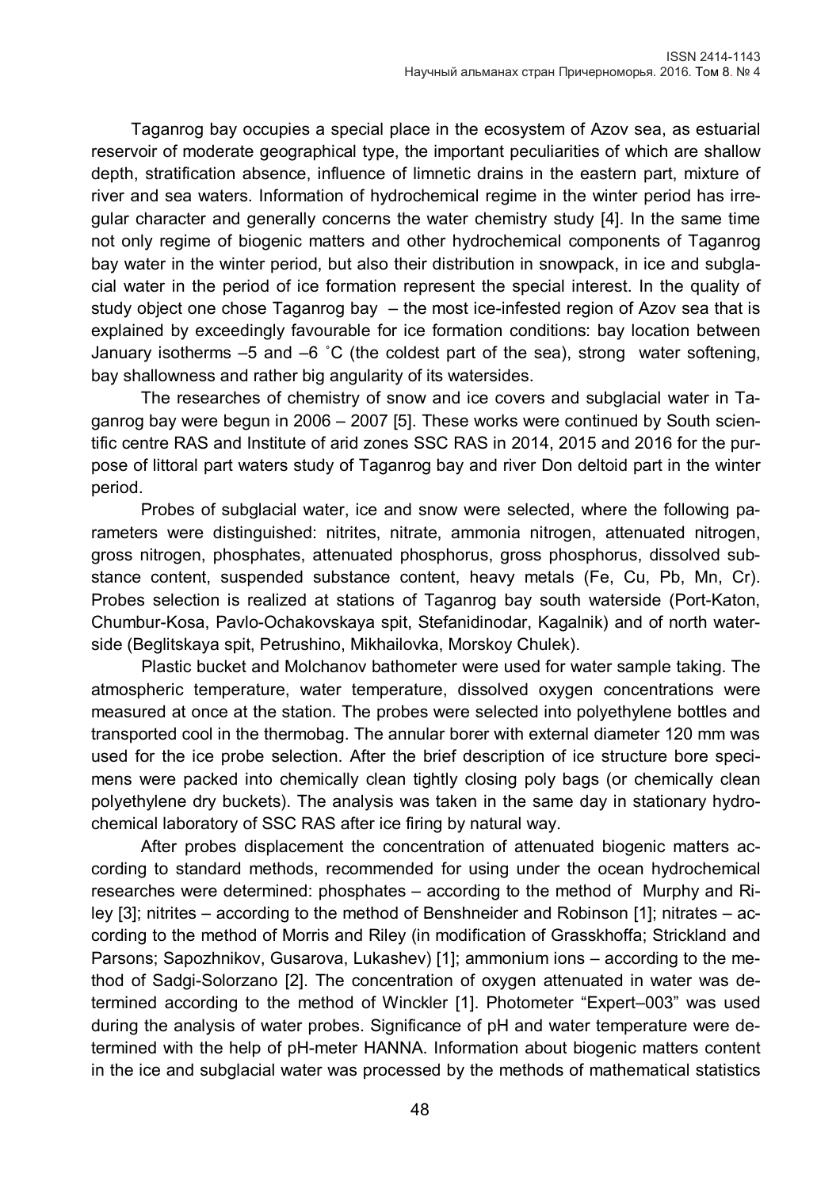Taganrog bay occupies a special place in the ecosystem of Azov sea, as estuarial reservoir of moderate geographical type, the important peculiarities of which are shallow depth, stratification absence, influence of limnetic drains in the eastern part, mixture of river and sea waters. Information of hydrochemical regime in the winter period has irregular character and generally concerns the water chemistry study [4]. In the same time not only regime of biogenic matters and other hydrochemical components of Taganrog bay water in the winter period, but also their distribution in snowpack, in ice and subglacial water in the period of ice formation represent the special interest. In the quality of study object one chose Taganrog bay – the most ice-infested region of Azov sea that is explained by exceedingly favourable for ice formation conditions: bay location between January isotherms –5 and –6 ˚С (the coldest part of the sea), strong water softening, bay shallowness and rather big angularity of its watersides.

The researches of chemistry of snow and ice covers and subglacial water in Taganrog bay were begun in 2006 – 2007 [5]. These works were continued by South scientific centre RAS and Institute of arid zones SSC RAS in 2014, 2015 and 2016 for the purpose of littoral part waters study of Taganrog bay and river Don deltoid part in the winter period.

Probes of subglacial water, ice and snow were selected, where the following parameters were distinguished: nitrites, nitrate, ammonia nitrogen, attenuated nitrogen, gross nitrogen, phosphates, attenuated phosphorus, gross phosphorus, dissolved substance content, suspended substance content, heavy metals (Fe, Cu, Pb, Mn, Cr). Probes selection is realized at stations of Taganrog bay south waterside (Port-Katon, Chumbur-Kosa, Pavlo-Ochakovskaya spit, Stefanidinodar, Kagalnik) and of north waterside (Beglitskaya spit, Petrushino, Mikhailovka, Morskoy Chulek).

Plastic bucket and Molchanov bathometer were used for water sample taking. The atmospheric temperature, water temperature, dissolved oxygen concentrations were measured at once at the station. The probes were selected into polyethylene bottles and transported cool in the thermobag. The annular borer with external diameter 120 mm was used for the ice probe selection. After the brief description of ice structure bore specimens were packed into chemically clean tightly closing poly bags (or chemically clean polyethylene dry buckets). The analysis was taken in the same day in stationary hydrochemical laboratory of SSC RAS after ice firing by natural way.

After probes displacement the concentration of attenuated biogenic matters according to standard methods, recommended for using under the ocean hydrochemical researches were determined: phosphates – according to the method of Murphy and Riley [3]; nitrites – according to the method of Benshneider and Robinson [1]; nitrates – according to the method of Morris and Riley (in modification of Grasskhoffa; Strickland and Parsons; Sapozhnikov, Gusarova, Lukashev) [1]; ammonium ions – according to the method of Sadgi-Solorzano [2]. The concentration of oxygen attenuated in water was determined according to the method of Winckler [1]. Photometer "Expert–003" was used during the analysis of water probes. Significance of pH and water temperature were determined with the help of pH-meter HANNA. Information about biogenic matters content in the ice and subglacial water was processed by the methods of mathematical statistics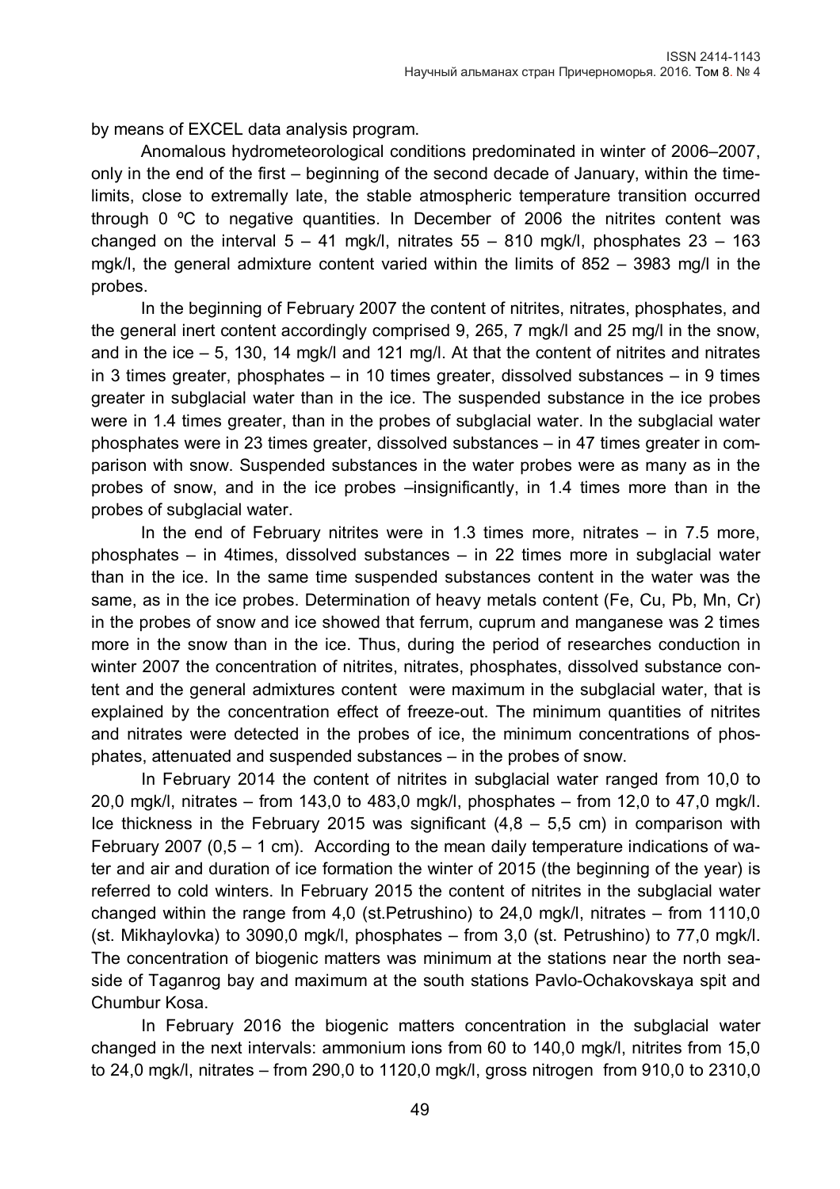by means of EXCEL data analysis program.

Anomalous hydrometeorological conditions predominated in winter of 2006–2007, only in the end of the first – beginning of the second decade of January, within the timelimits, close to extremally late, the stable atmospheric temperature transition occurred through 0 ºС to negative quantities. In December of 2006 the nitrites content was changed on the interval  $5 - 41$  mgk/l, nitrates  $55 - 810$  mgk/l, phosphates  $23 - 163$ mgk/l, the general admixture content varied within the limits of 852 – 3983 mg/l in the probes.

In the beginning of February 2007 the content of nitrites, nitrates, phosphates, and the general inert content accordingly comprised 9, 265, 7 mgk/l and 25 mg/l in the snow, and in the ice – 5, 130, 14 mgk/l and 121 mg/l. At that the content of nitrites and nitrates in 3 times greater, phosphates – in 10 times greater, dissolved substances – in 9 times greater in subglacial water than in the ice. The suspended substance in the ice probes were in 1.4 times greater, than in the probes of subglacial water. In the subglacial water phosphates were in 23 times greater, dissolved substances – in 47 times greater in comparison with snow. Suspended substances in the water probes were as many as in the probes of snow, and in the ice probes –insignificantly, in 1.4 times more than in the probes of subglacial water.

In the end of February nitrites were in 1.3 times more, nitrates  $-$  in 7.5 more, phosphates – in 4times, dissolved substances – in 22 times more in subglacial water than in the ice. In the same time suspended substances content in the water was the same, as in the ice probes. Determination of heavy metals content (Fe, Cu, Pb, Mn, Cr) in the probes of snow and ice showed that ferrum, cuprum and manganese was 2 times more in the snow than in the ice. Thus, during the period of researches conduction in winter 2007 the concentration of nitrites, nitrates, phosphates, dissolved substance content and the general admixtures content were maximum in the subglacial water, that is explained by the concentration effect of freeze-out. The minimum quantities of nitrites and nitrates were detected in the probes of ice, the minimum concentrations of phosphates, attenuated and suspended substances – in the probes of snow.

In February 2014 the content of nitrites in subglacial water ranged from 10,0 to 20,0 mgk/l, nitrates – from 143,0 to 483,0 mgk/l, phosphates – from 12,0 to 47,0 mgk/l. Ice thickness in the February 2015 was significant  $(4.8 - 5.5 \text{ cm})$  in comparison with February 2007 ( $0.5 - 1$  cm). According to the mean daily temperature indications of water and air and duration of ice formation the winter of 2015 (the beginning of the year) is referred to cold winters. In February 2015 the content of nitrites in the subglacial water changed within the range from 4,0 (st.Petrushino) to 24,0 mgk/l, nitrates – from 1110,0 (st. Mikhaylovka) to 3090,0 mgk/l, phosphates – from 3,0 (st. Petrushino) to 77,0 mgk/l. The concentration of biogenic matters was minimum at the stations near the north seaside of Taganrog bay and maximum at the south stations Pavlo-Ochakovskaya spit and Chumbur Kosa.

In February 2016 the biogenic matters concentration in the subglacial water changed in the next intervals: ammonium ions from 60 to 140,0 mgk/l, nitrites from 15,0 to 24,0 mgk/l, nitrates – from 290,0 to 1120,0 mgk/l, gross nitrogen from 910,0 to 2310,0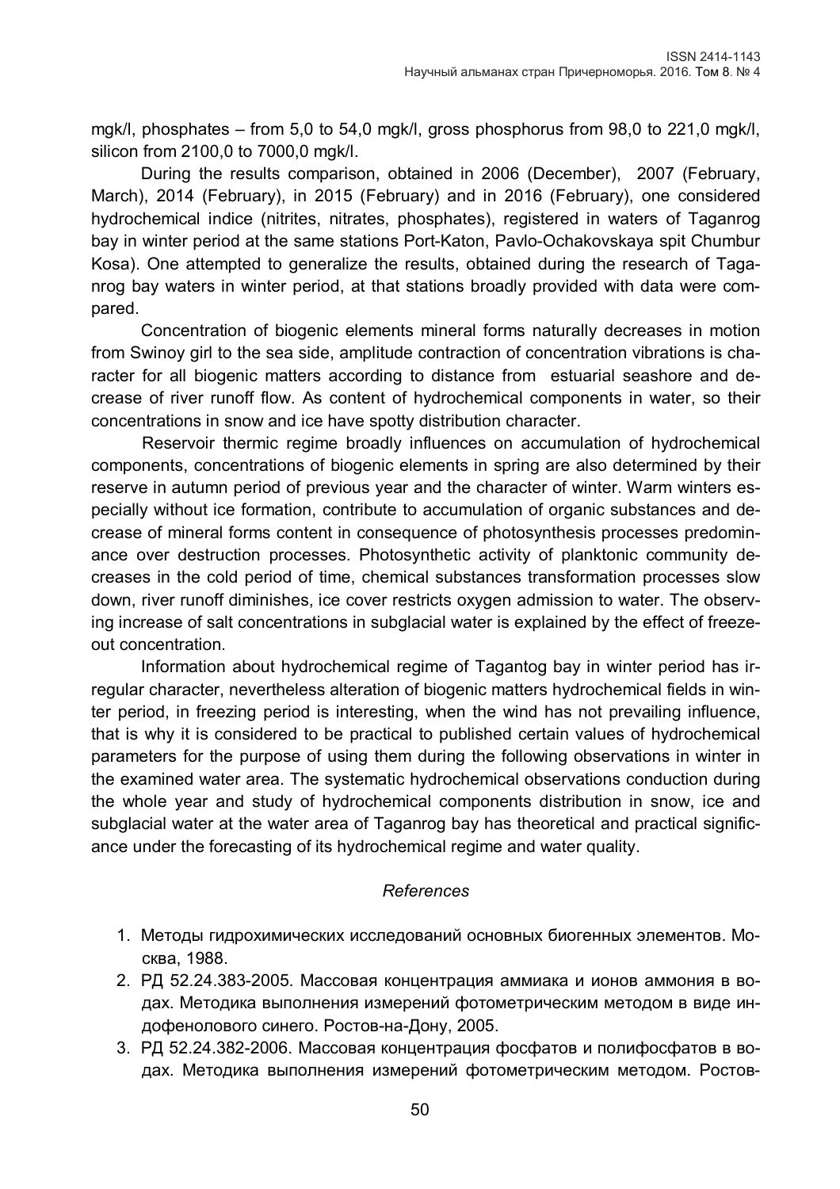mgk/l, phosphates – from 5,0 to 54,0 mgk/l, gross phosphorus from 98,0 to 221,0 mgk/l, silicon from 2100,0 to 7000,0 mgk/l.

During the results comparison, obtained in 2006 (December), 2007 (February, March), 2014 (February), in 2015 (February) and in 2016 (February), one considered hydrochemical indice (nitrites, nitrates, phosphates), registered in waters of Taganrog bay in winter period at the same stations Port-Katon, Pavlo-Ochakovskaya spit Chumbur Kosa). One attempted to generalize the results, obtained during the research of Taganrog bay waters in winter period, at that stations broadly provided with data were compared.

Concentration of biogenic elements mineral forms naturally decreases in motion from Swinoy girl to the sea side, amplitude contraction of concentration vibrations is character for all biogenic matters according to distance from estuarial seashore and decrease of river runoff flow. As content of hydrochemical components in water, so their concentrations in snow and ice have spotty distribution character.

Reservoir thermic regime broadly influences on accumulation of hydrochemical components, concentrations of biogenic elements in spring are also determined by their reserve in autumn period of previous year and the character of winter. Warm winters especially without ice formation, contribute to accumulation of organic substances and decrease of mineral forms content in consequence of photosynthesis processes predominance over destruction processes. Photosynthetic activity of planktonic community decreases in the cold period of time, chemical substances transformation processes slow down, river runoff diminishes, ice cover restricts oxygen admission to water. The observing increase of salt concentrations in subglacial water is explained by the effect of freezeout concentration.

Information about hydrochemical regime of Tagantog bay in winter period has irregular character, nevertheless alteration of biogenic matters hydrochemical fields in winter period, in freezing period is interesting, when the wind has not prevailing influence, that is why it is considered to be practical to published certain values of hydrochemical parameters for the purpose of using them during the following observations in winter in the examined water area. The systematic hydrochemical observations conduction during the whole year and study of hydrochemical components distribution in snow, ice and subglacial water at the water area of Taganrog bay has theoretical and practical significance under the forecasting of its hydrochemical regime and water quality.

## *References*

- 1. Методы гидрохимических исследований основных биогенных элементов. Москва, 1988.
- 2. РД 52.24.383-2005. Массовая концентрация аммиака и ионов аммония в водах. Методика выполнения измерений фотометрическим методом в виде индофенолового синего. Ростов-на-Дону, 2005.
- 3. РД 52.24.382-2006. Массовая концентрация фосфатов и полифосфатов в водах. Методика выполнения измерений фотометрическим методом. Ростов-